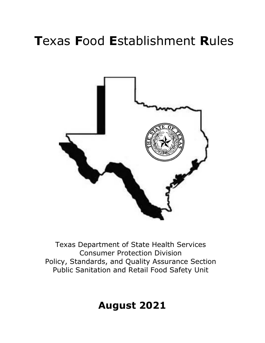# **T**exas **F**ood **E**stablishment **R**ules



Texas Department of State Health Services Consumer Protection Division Policy, Standards, and Quality Assurance Section Public Sanitation and Retail Food Safety Unit

## **August 2021**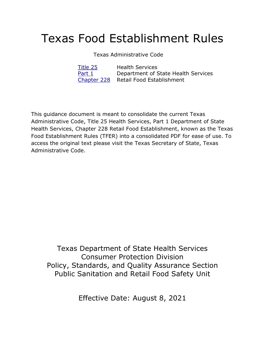## Texas Food Establishment Rules

### Texas Administrative Code

| Title 25 | <b>Health Services</b>                |
|----------|---------------------------------------|
| Part 1   | Department of State Health Services   |
|          | Chapter 228 Retail Food Establishment |

This guidance document is meant to consolidate the current Texas Administrative Code, Title 25 Health Services, Part 1 Department of State Health Services, Chapter 228 Retail Food Establishment, known as the Texas Food Establishment Rules (TFER) into a consolidated PDF for ease of use. To access the original text please visit the Texas Secretary of State, Texas Administrative Code.

Texas Department of State Health Services Consumer Protection Division Policy, Standards, and Quality Assurance Section Public Sanitation and Retail Food Safety Unit

Effective Date: August 8, 2021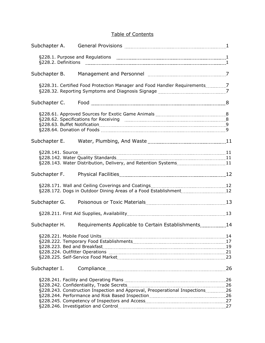### Table of Contents

| Subchapter A. |                                                                              |  |
|---------------|------------------------------------------------------------------------------|--|
|               |                                                                              |  |
| Subchapter B. |                                                                              |  |
|               | §228.31. Certified Food Protection Manager and Food Handler Requirements7    |  |
| Subchapter C. |                                                                              |  |
|               |                                                                              |  |
|               |                                                                              |  |
| Subchapter E. |                                                                              |  |
|               |                                                                              |  |
| Subchapter F. |                                                                              |  |
|               | §228.172. Dogs in Outdoor Dining Areas of a Food Establishment [11, 1201] 12 |  |
| Subchapter G. |                                                                              |  |
|               |                                                                              |  |
| Subchapter H. | Requirements Applicable to Certain Establishments [14] Requirements 14       |  |
|               |                                                                              |  |
| Subchapter I. |                                                                              |  |
|               | §228.243. Construction Inspection and Approval, Preoperational Inspections26 |  |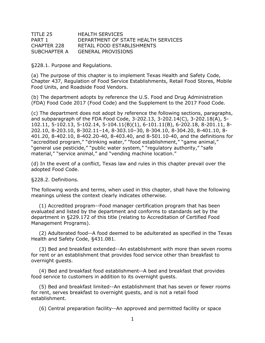| TITLE 25     | <b>HEALTH SERVICES</b>              |
|--------------|-------------------------------------|
| PART 1       | DEPARTMENT OF STATE HEALTH SERVICES |
| CHAPTER 228  | RETAIL FOOD ESTABLISHMENTS          |
| SUBCHAPTER A | <b>GENERAL PROVISIONS</b>           |

§228.1. Purpose and Regulations.

(a) The purpose of this chapter is to implement Texas Health and Safety Code, Chapter 437, Regulation of Food Service Establishments, Retail Food Stores, Mobile Food Units, and Roadside Food Vendors.

(b) The department adopts by reference the U.S. Food and Drug Administration (FDA) Food Code 2017 (Food Code) and the Supplement to the 2017 Food Code.

(c) The department does not adopt by reference the following sections, paragraphs, and subparagraph of the FDA Food Code, 3-202.13, 3-202.14(C), 3-202.18(A), 5- 102.11, 5-102.13, 5-102.14, 5-104.11(B)(1), 6-101.11(B), 6-202.18, 8-201.11, 8- 202.10, 8-203.10, 8-302.11–14, 8-303.10–30, 8-304.10, 8-304.20, 8-401.10, 8- 401.20, 8-402.10, 8-402.20-40, 8-403.40, and 8-501.10-40, and the definitions for "accredited program," "drinking water," "food establishment," "game animal," "general use pesticide," "public water system," "regulatory authority," "safe material," "service animal," and "vending machine location."

(d) In the event of a conflict, Texas law and rules in this chapter prevail over the adopted Food Code.

§228.2. Definitions.

The following words and terms, when used in this chapter, shall have the following meanings unless the context clearly indicates otherwise.

(1) Accredited program--Food manager certification program that has been evaluated and listed by the department and conforms to standards set by the department in §229.172 of this title (relating to Accreditation of Certified Food Management Programs).

(2) Adulterated food--A food deemed to be adulterated as specified in the Texas Health and Safety Code, §431.081.

(3) Bed and breakfast extended--An establishment with more than seven rooms for rent or an establishment that provides food service other than breakfast to overnight guests.

(4) Bed and breakfast food establishment--A bed and breakfast that provides food service to customers in addition to its overnight guests.

(5) Bed and breakfast limited--An establishment that has seven or fewer rooms for rent, serves breakfast to overnight guests, and is not a retail food establishment.

(6) Central preparation facility--An approved and permitted facility or space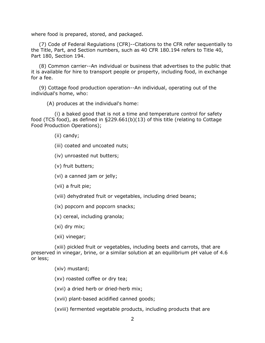where food is prepared, stored, and packaged.

(7) Code of Federal Regulations (CFR)--Citations to the CFR refer sequentially to the Title, Part, and Section numbers, such as 40 CFR 180.194 refers to Title 40, Part 180, Section 194.

(8) Common carrier--An individual or business that advertises to the public that it is available for hire to transport people or property, including food, in exchange for a fee.

(9) Cottage food production operation--An individual, operating out of the individual's home, who:

(A) produces at the individual's home:

(i) a baked good that is not a time and temperature control for safety food (TCS food), as defined in §229.661(b)(13) of this title (relating to Cottage Food Production Operations);

(ii) candy;

- (iii) coated and uncoated nuts;
- (iv) unroasted nut butters;

(v) fruit butters;

(vi) a canned jam or jelly;

(vii) a fruit pie;

(viii) dehydrated fruit or vegetables, including dried beans;

(ix) popcorn and popcorn snacks;

(x) cereal, including granola;

(xi) dry mix;

(xii) vinegar;

(xiii) pickled fruit or vegetables, including beets and carrots, that are preserved in vinegar, brine, or a similar solution at an equilibrium pH value of 4.6 or less;

(xiv) mustard;

(xv) roasted coffee or dry tea;

(xvi) a dried herb or dried-herb mix;

(xvii) plant-based acidified canned goods;

(xviii) fermented vegetable products, including products that are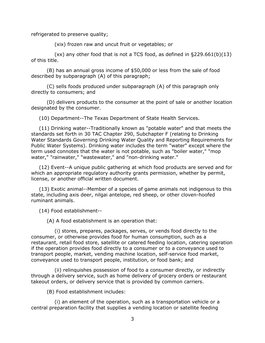refrigerated to preserve quality;

(xix) frozen raw and uncut fruit or vegetables; or

(xx) any other food that is not a TCS food, as defined in §229.661(b)(13) of this title.

(B) has an annual gross income of \$50,000 or less from the sale of food described by subparagraph (A) of this paragraph;

(C) sells foods produced under subparagraph (A) of this paragraph only directly to consumers; and

(D) delivers products to the consumer at the point of sale or another location designated by the consumer.

(10) Department--The Texas Department of State Health Services.

(11) Drinking water--Traditionally known as "potable water" and that meets the standards set forth in 30 TAC Chapter 290, Subchapter F (relating to Drinking Water Standards Governing Drinking Water Quality and Reporting Requirements for Public Water Systems). Drinking water includes the term "water" except where the term used connotes that the water is not potable, such as "boiler water," "mop water," "rainwater," "wastewater," and "non-drinking water."

(12) Event--A unique public gathering at which food products are served and for which an appropriate regulatory authority grants permission, whether by permit, license, or another official written document.

(13) Exotic animal--Member of a species of game animals not indigenous to this state, including axis deer, nilgai antelope, red sheep, or other cloven-hoofed ruminant animals.

(14) Food establishment--

(A) A food establishment is an operation that:

(i) stores, prepares, packages, serves, or vends food directly to the consumer, or otherwise provides food for human consumption, such as a restaurant, retail food store, satellite or catered feeding location, catering operation if the operation provides food directly to a consumer or to a conveyance used to transport people, market, vending machine location, self-service food market, conveyance used to transport people, institution, or food bank; and

(ii) relinquishes possession of food to a consumer directly, or indirectly through a delivery service, such as home delivery of grocery orders or restaurant takeout orders, or delivery service that is provided by common carriers.

(B) Food establishment includes:

(i) an element of the operation, such as a transportation vehicle or a central preparation facility that supplies a vending location or satellite feeding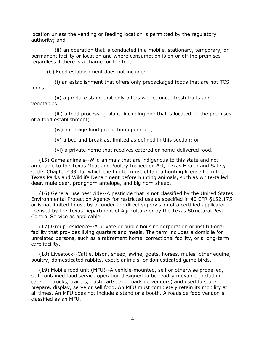location unless the vending or feeding location is permitted by the regulatory authority; and

(ii) an operation that is conducted in a mobile, stationary, temporary, or permanent facility or location and where consumption is on or off the premises regardless if there is a charge for the food.

(C) Food establishment does not include:

(i) an establishment that offers only prepackaged foods that are not TCS foods;

(ii) a produce stand that only offers whole, uncut fresh fruits and vegetables;

(iii) a food processing plant, including one that is located on the premises of a food establishment;

(iv) a cottage food production operation;

(v) a bed and breakfast limited as defined in this section; or

(vi) a private home that receives catered or home-delivered food.

(15) Game animals--Wild animals that are indigenous to this state and not amenable to the Texas Meat and Poultry Inspection Act, Texas Health and Safety Code, Chapter 433, for which the hunter must obtain a hunting license from the Texas Parks and Wildlife Department before hunting animals, such as white-tailed deer, mule deer, pronghorn antelope, and big horn sheep.

(16) General use pesticide--A pesticide that is not classified by the United States Environmental Protection Agency for restricted use as specified in 40 CFR §152.175 or is not limited to use by or under the direct supervision of a certified applicator licensed by the Texas Department of Agriculture or by the Texas Structural Pest Control Service as applicable.

(17) Group residence--A private or public housing corporation or institutional facility that provides living quarters and meals. The term includes a domicile for unrelated persons, such as a retirement home, correctional facility, or a long-term care facility.

(18) Livestock--Cattle, bison, sheep, swine, goats, horses, mules, other equine, poultry, domesticated rabbits, exotic animals, or domesticated game birds.

(19) Mobile food unit (MFU)--A vehicle-mounted, self or otherwise propelled, self-contained food service operation designed to be readily movable (including catering trucks, trailers, push carts, and roadside vendors) and used to store, prepare, display, serve or sell food. An MFU must completely retain its mobility at all times. An MFU does not include a stand or a booth. A roadside food vendor is classified as an MFU.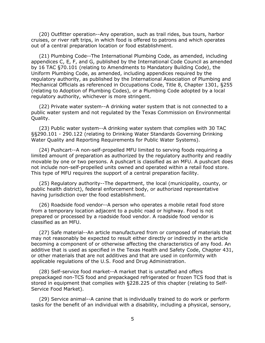(20) Outfitter operation--Any operation, such as trail rides, bus tours, harbor cruises, or river raft trips, in which food is offered to patrons and which operates out of a central preparation location or food establishment.

(21) Plumbing Code--The International Plumbing Code, as amended, including appendices C, E, F, and G, published by the International Code Council as amended by 16 TAC §70.101 (relating to Amendments to Mandatory Building Code), the Uniform Plumbing Code, as amended, including appendices required by the regulatory authority, as published by the International Association of Plumbing and Mechanical Officials as referenced in Occupations Code, Title 8, Chapter 1301, §255 (relating to Adoption of Plumbing Codes), or a Plumbing Code adopted by a local regulatory authority, whichever is more stringent.

(22) Private water system--A drinking water system that is not connected to a public water system and not regulated by the Texas Commission on Environmental Quality.

(23) Public water system--A drinking water system that complies with 30 TAC §§290.101 - 290.122 (relating to Drinking Water Standards Governing Drinking Water Quality and Reporting Requirements for Public Water Systems).

(24) Pushcart--A non-self-propelled MFU limited to serving foods requiring a limited amount of preparation as authorized by the regulatory authority and readily movable by one or two persons. A pushcart is classified as an MFU. A pushcart does not include non-self-propelled units owned and operated within a retail food store. This type of MFU requires the support of a central preparation facility.

(25) Regulatory authority--The department, the local (municipality, county, or public health district), federal enforcement body, or authorized representative having jurisdiction over the food establishment.

(26) Roadside food vendor--A person who operates a mobile retail food store from a temporary location adjacent to a public road or highway. Food is not prepared or processed by a roadside food vendor. A roadside food vendor is classified as an MFU.

(27) Safe material--An article manufactured from or composed of materials that may not reasonably be expected to result either directly or indirectly in the article becoming a component of or otherwise affecting the characteristics of any food. An additive that is used as specified in the Texas Health and Safety Code, Chapter 431, or other materials that are not additives and that are used in conformity with applicable regulations of the U.S. Food and Drug Administration.

(28) Self-service food market--A market that is unstaffed and offers prepackaged non-TCS food and prepackaged refrigerated or frozen TCS food that is stored in equipment that complies with §228.225 of this chapter (relating to Self-Service Food Market).

(29) Service animal--A canine that is individually trained to do work or perform tasks for the benefit of an individual with a disability, including a physical, sensory,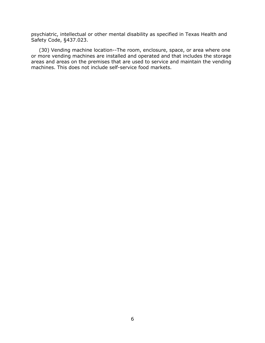psychiatric, intellectual or other mental disability as specified in Texas Health and Safety Code, §437.023.

(30) Vending machine location--The room, enclosure, space, or area where one or more vending machines are installed and operated and that includes the storage areas and areas on the premises that are used to service and maintain the vending machines. This does not include self-service food markets.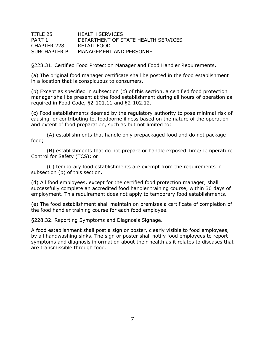| TITLE 25     | <b>HEALTH SERVICES</b>              |
|--------------|-------------------------------------|
| PART 1       | DEPARTMENT OF STATE HEALTH SERVICES |
| CHAPTER 228  | RETAIL FOOD                         |
| SUBCHAPTER B | MANAGEMENT AND PERSONNEL            |

§228.31. Certified Food Protection Manager and Food Handler Requirements.

(a) The original food manager certificate shall be posted in the food establishment in a location that is conspicuous to consumers.

(b) Except as specified in subsection (c) of this section, a certified food protection manager shall be present at the food establishment during all hours of operation as required in Food Code, §2-101.11 and §2-102.12.

(c) Food establishments deemed by the regulatory authority to pose minimal risk of causing, or contributing to, foodborne illness based on the nature of the operation and extent of food preparation, such as but not limited to:

(A) establishments that handle only prepackaged food and do not package food;

(B) establishments that do not prepare or handle exposed Time/Temperature Control for Safety (TCS); or

(C) temporary food establishments are exempt from the requirements in subsection (b) of this section.

(d) All food employees, except for the certified food protection manager, shall successfully complete an accredited food handler training course, within 30 days of employment. This requirement does not apply to temporary food establishments.

(e) The food establishment shall maintain on premises a certificate of completion of the food handler training course for each food employee.

§228.32. Reporting Symptoms and Diagnosis Signage.

A food establishment shall post a sign or poster, clearly visible to food employees, by all handwashing sinks. The sign or poster shall notify food employees to report symptoms and diagnosis information about their health as it relates to diseases that are transmissible through food.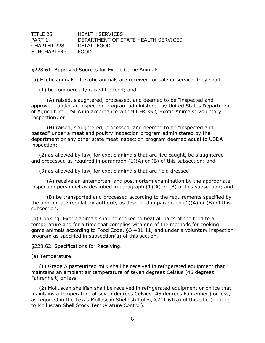| TITLE 25          | <b>HEALTH SERVICES</b>              |
|-------------------|-------------------------------------|
| PART 1            | DEPARTMENT OF STATE HEALTH SERVICES |
| CHAPTER 228       | RETAIL FOOD                         |
| SUBCHAPTER C FOOD |                                     |

§228.61. Approved Sources for Exotic Game Animals.

(a) Exotic animals. If exotic animals are received for sale or service, they shall:

(1) be commercially raised for food; and

(A) raised, slaughtered, processed, and deemed to be "inspected and approved" under an inspection program administered by United States Department of Agriculture (USDA) in accordance with 9 CFR 352, Exotic Animals; Voluntary Inspection; or

(B) raised, slaughtered, processed, and deemed to be "inspected and passed" under a meat and poultry inspection program administered by the department or any other state meat inspection program deemed equal to USDA inspection;

(2) as allowed by law, for exotic animals that are live caught, be slaughtered and processed as required in paragraph  $(1)(A)$  or  $(B)$  of this subsection; and

(3) as allowed by law, for exotic animals that are field dressed:

(A) receive an antemortem and postmortem examination by the appropriate inspection personnel as described in paragraph (1)(A) or (B) of this subsection; and

(B) be transported and processed according to the requirements specified by the appropriate regulatory authority as described in paragraph (1)(A) or (B) of this subsection.

(b) Cooking. Exotic animals shall be cooked to heat all parts of the food to a temperature and for a time that complies with one of the methods for cooking game animals according to Food Code, §3-401.11, and under a voluntary inspection program as specified in subsection(a) of this section.

§228.62. Specifications for Receiving.

#### (a) Temperature.

(1) Grade A pasteurized milk shall be received in refrigerated equipment that maintains an ambient air temperature of seven degrees Celsius (45 degrees Fahrenheit) or less.

(2) Molluscan shellfish shall be received in refrigerated equipment or on ice that maintains a temperature of seven degrees Celsius (45 degrees Fahrenheit) or less, as required in the Texas Molluscan Shellfish Rules, §241.61(a) of this title (relating to Molluscan Shell Stock Temperature Control).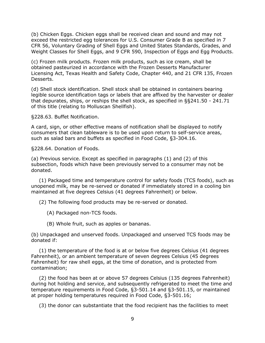(b) Chicken Eggs. Chicken eggs shall be received clean and sound and may not exceed the restricted egg tolerances for U.S. Consumer Grade B as specified in 7 CFR 56, Voluntary Grading of Shell Eggs and United States Standards, Grades, and Weight Classes for Shell Eggs, and 9 CFR 590, Inspection of Eggs and Egg Products.

(c) Frozen milk products. Frozen milk products, such as ice cream, shall be obtained pasteurized in accordance with the Frozen Desserts Manufacturer Licensing Act, Texas Health and Safety Code, Chapter 440, and 21 CFR 135, Frozen Desserts.

(d) Shell stock identification. Shell stock shall be obtained in containers bearing legible source identification tags or labels that are affixed by the harvester or dealer that depurates, ships, or reships the shell stock, as specified in §§241.50 - 241.71 of this title (relating to Molluscan Shellfish).

§228.63. Buffet Notification.

A card, sign, or other effective means of notification shall be displayed to notify consumers that clean tableware is to be used upon return to self-service areas, such as salad bars and buffets as specified in Food Code, §3-304.16.

§228.64. Donation of Foods.

(a) Previous service. Except as specified in paragraphs (1) and (2) of this subsection, foods which have been previously served to a consumer may not be donated.

(1) Packaged time and temperature control for safety foods (TCS foods), such as unopened milk, may be re-served or donated if immediately stored in a cooling bin maintained at five degrees Celsius (41 degrees Fahrenheit) or below.

(2) The following food products may be re-served or donated.

- (A) Packaged non-TCS foods.
- (B) Whole fruit, such as apples or bananas.

(b) Unpackaged and unserved foods. Unpackaged and unserved TCS foods may be donated if:

(1) the temperature of the food is at or below five degrees Celsius (41 degrees Fahrenheit), or an ambient temperature of seven degrees Celsius (45 degrees Fahrenheit) for raw shell eggs, at the time of donation, and is protected from contamination;

(2) the food has been at or above 57 degrees Celsius (135 degrees Fahrenheit) during hot holding and service, and subsequently refrigerated to meet the time and temperature requirements in Food Code, §3-501.14 and §3-501.15, or maintained at proper holding temperatures required in Food Code, §3-501.16;

(3) the donor can substantiate that the food recipient has the facilities to meet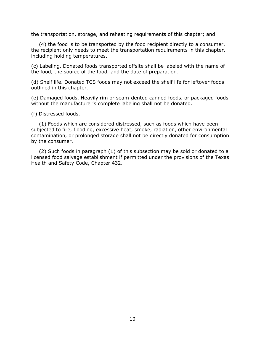the transportation, storage, and reheating requirements of this chapter; and

(4) the food is to be transported by the food recipient directly to a consumer, the recipient only needs to meet the transportation requirements in this chapter, including holding temperatures.

(c) Labeling. Donated foods transported offsite shall be labeled with the name of the food, the source of the food, and the date of preparation.

(d) Shelf life. Donated TCS foods may not exceed the shelf life for leftover foods outlined in this chapter.

(e) Damaged foods. Heavily rim or seam-dented canned foods, or packaged foods without the manufacturer's complete labeling shall not be donated.

(f) Distressed foods.

(1) Foods which are considered distressed, such as foods which have been subjected to fire, flooding, excessive heat, smoke, radiation, other environmental contamination, or prolonged storage shall not be directly donated for consumption by the consumer.

(2) Such foods in paragraph (1) of this subsection may be sold or donated to a licensed food salvage establishment if permitted under the provisions of the Texas Health and Safety Code, Chapter 432.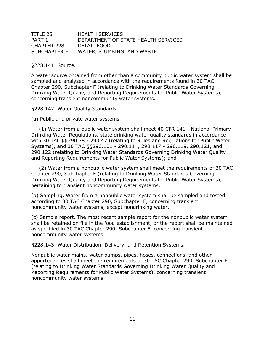| TITLE 25     | <b>HEALTH SERVICES</b>              |
|--------------|-------------------------------------|
| PART 1       | DEPARTMENT OF STATE HEALTH SERVICES |
| CHAPTER 228  | RETAIL FOOD                         |
| SUBCHAPTER E | WATER, PLUMBING, AND WASTE          |

§228.141. Source.

A water source obtained from other than a community public water system shall be sampled and analyzed in accordance with the requirements found in 30 TAC Chapter 290, Subchapter F (relating to Drinking Water Standards Governing Drinking Water Quality and Reporting Requirements for Public Water Systems), concerning transient noncommunity water systems.

§228.142. Water Quality Standards.

(a) Public and private water systems.

(1) Water from a public water system shall meet 40 CFR 141 - National Primary Drinking Water Regulations, state drinking water quality standards in accordance with 30 TAC §§290.38 - 290.47 (relating to Rules and Regulations for Public Water Systems), and 30 TAC §§290.101 - 290.114, 290.117 - 290.119, 290.121, and 290.122 (relating to Drinking Water Standards Governing Drinking Water Quality and Reporting Requirements for Public Water Systems); and

(2) Water from a nonpublic water system shall meet the requirements of 30 TAC Chapter 290, Subchapter F (relating to Drinking Water Standards Governing Drinking Water Quality and Reporting Requirements for Public Water Systems), pertaining to transient noncommunity water systems.

(b) Sampling. Water from a nonpublic water system shall be sampled and tested according to 30 TAC Chapter 290, Subchapter F, concerning transient noncommunity water systems, except nondrinking water.

(c) Sample report. The most recent sample report for the nonpublic water system shall be retained on file in the food establishment, or the report shall be maintained as specified in 30 TAC Chapter 290, Subchapter F, concerning transient noncommunity water systems.

§228.143. Water Distribution, Delivery, and Retention Systems.

Nonpublic water mains, water pumps, pipes, hoses, connections, and other appurtenances shall meet the requirements of 30 TAC Chapter 290, Subchapter F (relating to Drinking Water Standards Governing Drinking Water Quality and Reporting Requirements for Public Water Systems), concerning transient noncommunity water systems.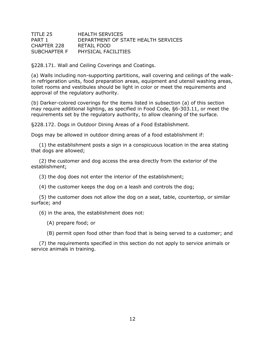#### TITLE 25 HEALTH SERVICES PART 1 DEPARTMENT OF STATE HEALTH SERVICES CHAPTER 228 RETAIL FOOD SUBCHAPTER F PHYSICAL FACILITIES

§228.171. Wall and Ceiling Coverings and Coatings.

(a) Walls including non-supporting partitions, wall covering and ceilings of the walkin refrigeration units, food preparation areas, equipment and utensil washing areas, toilet rooms and vestibules should be light in color or meet the requirements and approval of the regulatory authority.

(b) Darker-colored coverings for the items listed in subsection (a) of this section may require additional lighting, as specified in Food Code, §6-303.11, or meet the requirements set by the regulatory authority, to allow cleaning of the surface.

§228.172. Dogs in Outdoor Dining Areas of a Food Establishment.

Dogs may be allowed in outdoor dining areas of a food establishment if:

(1) the establishment posts a sign in a conspicuous location in the area stating that dogs are allowed;

(2) the customer and dog access the area directly from the exterior of the establishment;

(3) the dog does not enter the interior of the establishment;

(4) the customer keeps the dog on a leash and controls the dog;

(5) the customer does not allow the dog on a seat, table, countertop, or similar surface; and

(6) in the area, the establishment does not:

(A) prepare food; or

(B) permit open food other than food that is being served to a customer; and

(7) the requirements specified in this section do not apply to service animals or service animals in training.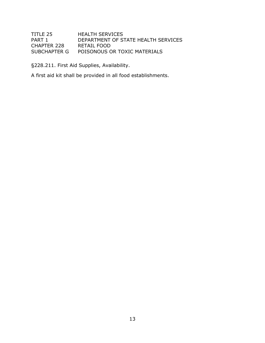### TITLE 25 HEALTH SERVICES PART 1 DEPARTMENT OF STATE HEALTH SERVICES<br>CHAPTER 228 RETAIL FOOD CHAPTER 228<br>SUBCHAPTER G POISONOUS OR TOXIC MATERIALS

§228.211. First Aid Supplies, Availability.

A first aid kit shall be provided in all food establishments.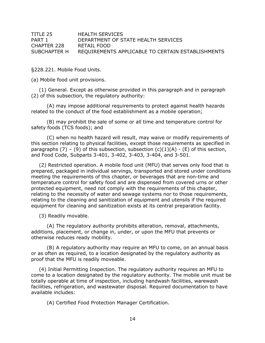| TITLE 25     | <b>HEALTH SERVICES</b>                            |
|--------------|---------------------------------------------------|
| PART 1       | DEPARTMENT OF STATE HEALTH SERVICES               |
| CHAPTER 228  | RETAIL FOOD                                       |
| SUBCHAPTER H | REQUIREMENTS APPLICABLE TO CERTAIN ESTABLISHMENTS |

§228.221. Mobile Food Units.

(a) Mobile food unit provisions.

(1) General. Except as otherwise provided in this paragraph and in paragraph (2) of this subsection, the regulatory authority:

(A) may impose additional requirements to protect against health hazards related to the conduct of the food establishment as a mobile operation;

(B) may prohibit the sale of some or all time and temperature control for safety foods (TCS foods); and

(C) when no health hazard will result, may waive or modify requirements of this section relating to physical facilities, except those requirements as specified in paragraphs (7) – (9) of this subsection, subsection  $(c)(1)(A)$  - (E) of this section, and Food Code, Subparts 3-401, 3-402, 3-403, 3-404, and 3-501.

(2) Restricted operation. A mobile food unit (MFU) that serves only food that is prepared, packaged in individual servings, transported and stored under conditions meeting the requirements of this chapter, or beverages that are non-time and temperature control for safety food and are dispensed from covered urns or other protected equipment, need not comply with the requirements of this chapter, relating to the necessity of water and sewage systems nor to those requirements, relating to the cleaning and sanitization of equipment and utensils if the required equipment for cleaning and sanitization exists at its central preparation facility.

(3) Readily movable.

(A) The regulatory authority prohibits alteration, removal, attachments, additions, placement, or change in, under, or upon the MFU that prevents or otherwise reduces ready mobility.

(B) A regulatory authority may require an MFU to come, on an annual basis or as often as required, to a location designated by the regulatory authority as proof that the MFU is readily moveable.

(4) Initial Permitting Inspection. The regulatory authority requires an MFU to come to a location designated by the regulatory authority. The mobile unit must be totally operable at time of inspection, including handwash facilities, warewash facilities, refrigeration, and wastewater disposal. Required documentation to have available includes:

(A) Certified Food Protection Manager Certification.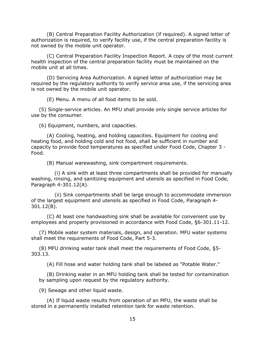(B) Central Preparation Facility Authorization (if required). A signed letter of authorization is required, to verify facility use, if the central preparation facility is not owned by the mobile unit operator.

(C) Central Preparation Facility Inspection Report. A copy of the most current health inspection of the central preparation facility must be maintained on the mobile unit at all times.

(D) Servicing Area Authorization. A signed letter of authorization may be required by the requlatory authority to verify service area use, if the servicing area is not owned by the mobile unit operator.

(E) Menu. A menu of all food items to be sold.

(5) Single-service articles. An MFU shall provide only single service articles for use by the consumer.

(6) Equipment, numbers, and capacities.

(A) Cooling, heating, and holding capacities. Equipment for cooling and heating food, and holding cold and hot food, shall be sufficient in number and capacity to provide food temperatures as specified under Food Code, Chapter 3 - Food.

(B) Manual warewashing, sink compartment requirements.

(i) A sink with at least three compartments shall be provided for manually washing, rinsing, and sanitizing equipment and utensils as specified in Food Code, Paragraph 4-301.12(A).

(ii) Sink compartments shall be large enough to accommodate immersion of the largest equipment and utensils as specified in Food Code, Paragraph 4- 301.12(B).

(C) At least one handwashing sink shall be available for convenient use by employees and properly provisioned in accordance with Food Code, §6-301.11-12.

(7) Mobile water system materials, design, and operation. MFU water systems shall meet the requirements of Food Code, Part 5-3.

(8) MFU drinking water tank shall meet the requirements of Food Code, §5- 303.13.

(A) Fill hose and water holding tank shall be labeled as "Potable Water."

(B) Drinking water in an MFU holding tank shall be tested for contamination by sampling upon request by the regulatory authority.

(9) Sewage and other liquid waste.

(A) If liquid waste results from operation of an MFU, the waste shall be stored in a permanently installed retention tank for waste retention.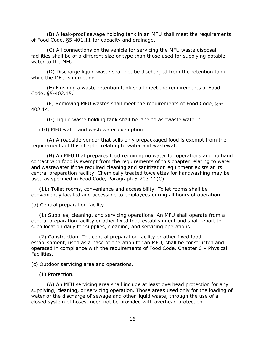(B) A leak-proof sewage holding tank in an MFU shall meet the requirements of Food Code, §5-401.11 for capacity and drainage.

(C) All connections on the vehicle for servicing the MFU waste disposal facilities shall be of a different size or type than those used for supplying potable water to the MFU.

(D) Discharge liquid waste shall not be discharged from the retention tank while the MFU is in motion.

(E) Flushing a waste retention tank shall meet the requirements of Food Code, §5-402.15.

(F) Removing MFU wastes shall meet the requirements of Food Code, §5- 402.14.

(G) Liquid waste holding tank shall be labeled as "waste water."

(10) MFU water and wastewater exemption.

(A) A roadside vendor that sells only prepackaged food is exempt from the requirements of this chapter relating to water and wastewater.

(B) An MFU that prepares food requiring no water for operations and no hand contact with food is exempt from the requirements of this chapter relating to water and wastewater if the required cleaning and sanitization equipment exists at its central preparation facility. Chemically treated towelettes for handwashing may be used as specified in Food Code, Paragraph 5-203.11(C).

(11) Toilet rooms, convenience and accessibility. Toilet rooms shall be conveniently located and accessible to employees during all hours of operation.

(b) Central preparation facility.

(1) Supplies, cleaning, and servicing operations. An MFU shall operate from a central preparation facility or other fixed food establishment and shall report to such location daily for supplies, cleaning, and servicing operations.

(2) Construction. The central preparation facility or other fixed food establishment, used as a base of operation for an MFU, shall be constructed and operated in compliance with the requirements of Food Code, Chapter 6 – Physical Facilities.

(c) Outdoor servicing area and operations.

(1) Protection.

(A) An MFU servicing area shall include at least overhead protection for any supplying, cleaning, or servicing operation. Those areas used only for the loading of water or the discharge of sewage and other liquid waste, through the use of a closed system of hoses, need not be provided with overhead protection.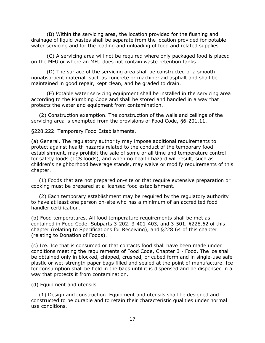(B) Within the servicing area, the location provided for the flushing and drainage of liquid wastes shall be separate from the location provided for potable water servicing and for the loading and unloading of food and related supplies.

(C) A servicing area will not be required where only packaged food is placed on the MFU or where an MFU does not contain waste retention tanks.

(D) The surface of the servicing area shall be constructed of a smooth nonabsorbent material, such as concrete or machine-laid asphalt and shall be maintained in good repair, kept clean, and be graded to drain.

(E) Potable water servicing equipment shall be installed in the servicing area according to the Plumbing Code and shall be stored and handled in a way that protects the water and equipment from contamination.

(2) Construction exemption. The construction of the walls and ceilings of the servicing area is exempted from the provisions of Food Code, §6-201.11.

§228.222. Temporary Food Establishments.

(a) General. The regulatory authority may impose additional requirements to protect against health hazards related to the conduct of the temporary food establishment, may prohibit the sale of some or all time and temperature control for safety foods (TCS foods), and when no health hazard will result, such as children's neighborhood beverage stands, may waive or modify requirements of this chapter.

(1) Foods that are not prepared on-site or that require extensive preparation or cooking must be prepared at a licensed food establishment.

(2) Each temporary establishment may be required by the regulatory authority to have at least one person on-site who has a minimum of an accredited food handler certification.

(b) Food temperatures. All food temperature requirements shall be met as contained in Food Code, Subparts 3-202, 3-401-403, and 3-501, §228.62 of this chapter (relating to Specifications for Receiving), and §228.64 of this chapter (relating to Donation of Foods).

(c) Ice. Ice that is consumed or that contacts food shall have been made under conditions meeting the requirements of Food Code, Chapter 3 - Food. The ice shall be obtained only in blocked, chipped, crushed, or cubed form and in single-use safe plastic or wet-strength paper bags filled and sealed at the point of manufacture. Ice for consumption shall be held in the bags until it is dispensed and be dispensed in a way that protects it from contamination.

(d) Equipment and utensils.

(1) Design and construction. Equipment and utensils shall be designed and constructed to be durable and to retain their characteristic qualities under normal use conditions.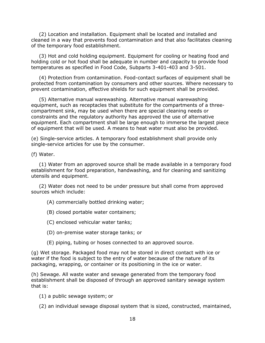(2) Location and installation. Equipment shall be located and installed and cleaned in a way that prevents food contamination and that also facilitates cleaning of the temporary food establishment.

(3) Hot and cold holding equipment. Equipment for cooling or heating food and holding cold or hot food shall be adequate in number and capacity to provide food temperatures as specified in Food Code, Subparts 3-401-403 and 3-501.

(4) Protection from contamination. Food-contact surfaces of equipment shall be protected from contamination by consumers and other sources. Where necessary to prevent contamination, effective shields for such equipment shall be provided.

(5) Alternative manual warewashing. Alternative manual warewashing equipment, such as receptacles that substitute for the compartments of a threecompartment sink, may be used when there are special cleaning needs or constraints and the regulatory authority has approved the use of alternative equipment. Each compartment shall be large enough to immerse the largest piece of equipment that will be used. A means to heat water must also be provided.

(e) Single-service articles. A temporary food establishment shall provide only single-service articles for use by the consumer.

(f) Water.

(1) Water from an approved source shall be made available in a temporary food establishment for food preparation, handwashing, and for cleaning and sanitizing utensils and equipment.

(2) Water does not need to be under pressure but shall come from approved sources which include:

- (A) commercially bottled drinking water;
- (B) closed portable water containers;
- (C) enclosed vehicular water tanks;
- (D) on-premise water storage tanks; or
- (E) piping, tubing or hoses connected to an approved source.

(g) Wet storage. Packaged food may not be stored in direct contact with ice or water if the food is subject to the entry of water because of the nature of its packaging, wrapping, or container or its positioning in the ice or water.

(h) Sewage. All waste water and sewage generated from the temporary food establishment shall be disposed of through an approved sanitary sewage system that is:

(1) a public sewage system; or

(2) an individual sewage disposal system that is sized, constructed, maintained,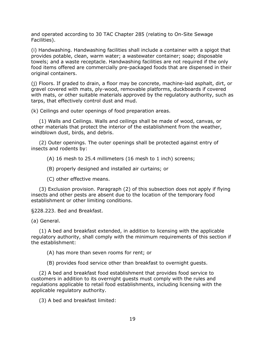and operated according to 30 TAC Chapter 285 (relating to On-Site Sewage Facilities).

(i) Handwashing. Handwashing facilities shall include a container with a spigot that provides potable, clean, warm water; a wastewater container; soap; disposable towels; and a waste receptacle. Handwashing facilities are not required if the only food items offered are commercially pre-packaged foods that are dispensed in their original containers.

(j) Floors. If graded to drain, a floor may be concrete, machine-laid asphalt, dirt, or gravel covered with mats, ply-wood, removable platforms, duckboards if covered with mats, or other suitable materials approved by the regulatory authority, such as tarps, that effectively control dust and mud.

(k) Ceilings and outer openings of food preparation areas.

(1) Walls and Ceilings. Walls and ceilings shall be made of wood, canvas, or other materials that protect the interior of the establishment from the weather, windblown dust, birds, and debris.

(2) Outer openings. The outer openings shall be protected against entry of insects and rodents by:

(A) 16 mesh to 25.4 millimeters (16 mesh to 1 inch) screens;

(B) properly designed and installed air curtains; or

(C) other effective means.

(3) Exclusion provision. Paragraph (2) of this subsection does not apply if flying insects and other pests are absent due to the location of the temporary food establishment or other limiting conditions.

§228.223. Bed and Breakfast.

(a) General.

(1) A bed and breakfast extended, in addition to licensing with the applicable regulatory authority, shall comply with the minimum requirements of this section if the establishment:

(A) has more than seven rooms for rent; or

(B) provides food service other than breakfast to overnight guests.

(2) A bed and breakfast food establishment that provides food service to customers in addition to its overnight guests must comply with the rules and regulations applicable to retail food establishments, including licensing with the applicable regulatory authority.

(3) A bed and breakfast limited: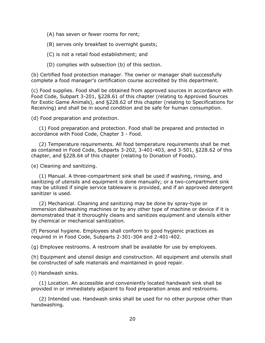(A) has seven or fewer rooms for rent;

(B) serves only breakfast to overnight guests;

(C) is not a retail food establishment; and

(D) complies with subsection (b) of this section.

(b) Certified food protection manager. The owner or manager shall successfully complete a food manager's certification course accredited by this department.

(c) Food supplies. Food shall be obtained from approved sources in accordance with Food Code, Subpart 3-201, §228.61 of this chapter (relating to Approved Sources for Exotic Game Animals), and §228.62 of this chapter (relating to Specifications for Receiving) and shall be in sound condition and be safe for human consumption.

(d) Food preparation and protection.

(1) Food preparation and protection. Food shall be prepared and protected in accordance with Food Code, Chapter 3 - Food.

(2) Temperature requirements. All food temperature requirements shall be met as contained in Food Code, Subparts 3-202, 3-401-403, and 3-501, §228.62 of this chapter, and §228.64 of this chapter (relating to Donation of Foods).

(e) Cleaning and sanitizing.

(1) Manual. A three-compartment sink shall be used if washing, rinsing, and sanitizing of utensils and equipment is done manually; or a two-compartment sink may be utilized if single service tableware is provided, and if an approved detergent sanitizer is used.

(2) Mechanical. Cleaning and sanitizing may be done by spray-type or immersion dishwashing machines or by any other type of machine or device if it is demonstrated that it thoroughly cleans and sanitizes equipment and utensils either by chemical or mechanical sanitization.

(f) Personal hygiene. Employees shall conform to good hygienic practices as required in in Food Code, Subparts 2-301-304 and 2-401-402.

(g) Employee restrooms. A restroom shall be available for use by employees.

(h) Equipment and utensil design and construction. All equipment and utensils shall be constructed of safe materials and maintained in good repair.

(i) Handwash sinks.

(1) Location. An accessible and conveniently located handwash sink shall be provided in or immediately adjacent to food preparation areas and restrooms.

(2) Intended use. Handwash sinks shall be used for no other purpose other than handwashing.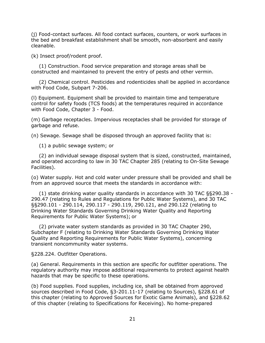(j) Food-contact surfaces. All food contact surfaces, counters, or work surfaces in the bed and breakfast establishment shall be smooth, non-absorbent and easily cleanable.

(k) Insect proof/rodent proof.

(1) Construction. Food service preparation and storage areas shall be constructed and maintained to prevent the entry of pests and other vermin.

(2) Chemical control. Pesticides and rodenticides shall be applied in accordance with Food Code, Subpart 7-206.

(l) Equipment. Equipment shall be provided to maintain time and temperature control for safety foods (TCS foods) at the temperatures required in accordance with Food Code, Chapter 3 - Food.

(m) Garbage receptacles. Impervious receptacles shall be provided for storage of garbage and refuse.

(n) Sewage. Sewage shall be disposed through an approved facility that is:

(1) a public sewage system; or

(2) an individual sewage disposal system that is sized, constructed, maintained, and operated according to law in 30 TAC Chapter 285 (relating to On-Site Sewage Facilities).

(o) Water supply. Hot and cold water under pressure shall be provided and shall be from an approved source that meets the standards in accordance with:

(1) state drinking water quality standards in accordance with 30 TAC §§290.38 - 290.47 (relating to Rules and Regulations for Public Water Systems), and 30 TAC §§290.101 - 290.114, 290.117 - 290.119, 290.121, and 290.122 (relating to Drinking Water Standards Governing Drinking Water Quality and Reporting Requirements for Public Water Systems); or

(2) private water system standards as provided in 30 TAC Chapter 290, Subchapter F (relating to Drinking Water Standards Governing Drinking Water Quality and Reporting Requirements for Public Water Systems), concerning transient noncommunity water systems.

§228.224. Outfitter Operations.

(a) General. Requirements in this section are specific for outfitter operations. The regulatory authority may impose additional requirements to protect against health hazards that may be specific to these operations.

(b) Food supplies. Food supplies, including ice, shall be obtained from approved sources described in Food Code, §3-201.11-17 (relating to Sources), §228.61 of this chapter (relating to Approved Sources for Exotic Game Animals), and §228.62 of this chapter (relating to Specifications for Receiving). No home-prepared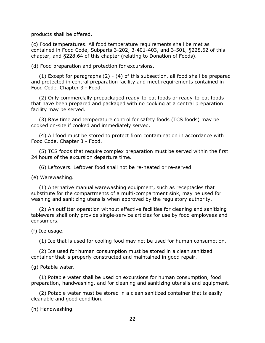products shall be offered.

(c) Food temperatures. All food temperature requirements shall be met as contained in Food Code, Subparts 3-202, 3-401-403, and 3-501, §228.62 of this chapter, and §228.64 of this chapter (relating to Donation of Foods).

(d) Food preparation and protection for excursions.

(1) Except for paragraphs (2) - (4) of this subsection, all food shall be prepared and protected in central preparation facility and meet requirements contained in Food Code, Chapter 3 - Food.

(2) Only commercially prepackaged ready-to-eat foods or ready-to-eat foods that have been prepared and packaged with no cooking at a central preparation facility may be served.

(3) Raw time and temperature control for safety foods (TCS foods) may be cooked on-site if cooked and immediately served.

(4) All food must be stored to protect from contamination in accordance with Food Code, Chapter 3 - Food.

(5) TCS foods that require complex preparation must be served within the first 24 hours of the excursion departure time.

(6) Leftovers. Leftover food shall not be re-heated or re-served.

(e) Warewashing.

(1) Alternative manual warewashing equipment, such as receptacles that substitute for the compartments of a multi-compartment sink, may be used for washing and sanitizing utensils when approved by the regulatory authority.

(2) An outfitter operation without effective facilities for cleaning and sanitizing tableware shall only provide single-service articles for use by food employees and consumers.

(f) Ice usage.

(1) Ice that is used for cooling food may not be used for human consumption.

(2) Ice used for human consumption must be stored in a clean sanitized container that is properly constructed and maintained in good repair.

(g) Potable water.

(1) Potable water shall be used on excursions for human consumption, food preparation, handwashing, and for cleaning and sanitizing utensils and equipment.

(2) Potable water must be stored in a clean sanitized container that is easily cleanable and good condition.

(h) Handwashing.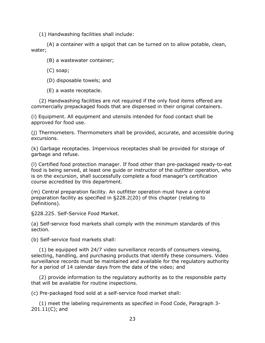(1) Handwashing facilities shall include:

(A) a container with a spigot that can be turned on to allow potable, clean, water;

(B) a wastewater container;

(C) soap;

(D) disposable towels; and

(E) a waste receptacle.

(2) Handwashing facilities are not required if the only food items offered are commercially prepackaged foods that are dispensed in their original containers.

(i) Equipment. All equipment and utensils intended for food contact shall be approved for food use.

(j) Thermometers. Thermometers shall be provided, accurate, and accessible during excursions.

(k) Garbage receptacles. Impervious receptacles shall be provided for storage of garbage and refuse.

(l) Certified food protection manager. If food other than pre-packaged ready-to-eat food is being served, at least one guide or instructor of the outfitter operation, who is on the excursion, shall successfully complete a food manager's certification course accredited by this department.

(m) Central preparation facility. An outfitter operation must have a central preparation facility as specified in §228.2(20) of this chapter (relating to Definitions).

§228.225. Self-Service Food Market.

(a) Self-service food markets shall comply with the minimum standards of this section.

(b) Self-service food markets shall:

(1) be equipped with 24/7 video surveillance records of consumers viewing, selecting, handling, and purchasing products that identify these consumers. Video surveillance records must be maintained and available for the regulatory authority for a period of 14 calendar days from the date of the video; and

(2) provide information to the regulatory authority as to the responsible party that will be available for routine inspections.

(c) Pre-packaged food sold at a self-service food market shall:

(1) meet the labeling requirements as specified in Food Code, Paragraph 3- 201.11(C); and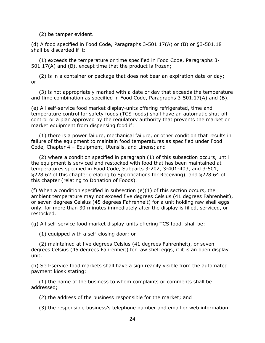(2) be tamper evident.

(d) A food specified in Food Code, Paragraphs 3-501.17(A) or (B) or §3-501.18 shall be discarded if it:

(1) exceeds the temperature or time specified in Food Code, Paragraphs 3- 501.17(A) and (B), except time that the product is frozen;

(2) is in a container or package that does not bear an expiration date or day; or

(3) is not appropriately marked with a date or day that exceeds the temperature and time combination as specified in Food Code, Paragraphs 3-501.17(A) and (B).

(e) All self-service food market display-units offering refrigerated, time and temperature control for safety foods (TCS foods) shall have an automatic shut-off control or a plan approved by the regulatory authority that prevents the market or market equipment from dispensing food if:

(1) there is a power failure, mechanical failure, or other condition that results in failure of the equipment to maintain food temperatures as specified under Food Code, Chapter 4 – Equipment, Utensils, and Linens; and

(2) where a condition specified in paragraph (1) of this subsection occurs, until the equipment is serviced and restocked with food that has been maintained at temperatures specified in Food Code, Subparts 3-202, 3-401-403, and 3-501, §228.62 of this chapter (relating to Specifications for Receiving), and §228.64 of this chapter (relating to Donation of Foods).

(f) When a condition specified in subsection (e)(1) of this section occurs, the ambient temperature may not exceed five degrees Celsius (41 degrees Fahrenheit), or seven degrees Celsius (45 degrees Fahrenheit) for a unit holding raw shell eggs only, for more than 30 minutes immediately after the display is filled, serviced, or restocked.

(g) All self-service food market display-units offering TCS food, shall be:

(1) equipped with a self-closing door; or

(2) maintained at five degrees Celsius (41 degrees Fahrenheit), or seven degrees Celsius (45 degrees Fahrenheit) for raw shell eggs, if it is an open display unit.

(h) Self-service food markets shall have a sign readily visible from the automated payment kiosk stating:

(1) the name of the business to whom complaints or comments shall be addressed;

(2) the address of the business responsible for the market; and

(3) the responsible business's telephone number and email or web information,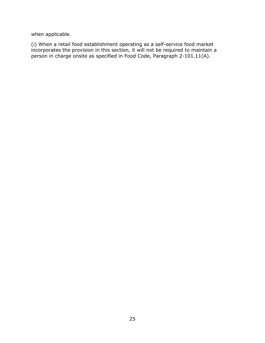when applicable.

(i) When a retail food establishment operating as a self-service food market incorporates the provision in this section, it will not be required to maintain a person in charge onsite as specified in Food Code, Paragraph 2-101.11(A).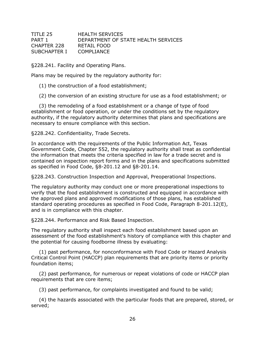| TITLE 25     | <b>HEALTH SERVICES</b>              |
|--------------|-------------------------------------|
| PART 1       | DEPARTMENT OF STATE HEALTH SERVICES |
| CHAPTER 228  | RETAIL FOOD                         |
| SUBCHAPTER I | COMPLIANCE                          |

§228.241. Facility and Operating Plans.

Plans may be required by the regulatory authority for:

(1) the construction of a food establishment;

(2) the conversion of an existing structure for use as a food establishment; or

(3) the remodeling of a food establishment or a change of type of food establishment or food operation, or under the conditions set by the regulatory authority, if the regulatory authority determines that plans and specifications are necessary to ensure compliance with this section.

§228.242. Confidentiality, Trade Secrets.

In accordance with the requirements of the Public Information Act, Texas Government Code, Chapter 552, the regulatory authority shall treat as confidential the information that meets the criteria specified in law for a trade secret and is contained on inspection report forms and in the plans and specifications submitted as specified in Food Code, §8-201.12 and §8-201.14.

§228.243. Construction Inspection and Approval, Preoperational Inspections.

The regulatory authority may conduct one or more preoperational inspections to verify that the food establishment is constructed and equipped in accordance with the approved plans and approved modifications of those plans, has established standard operating procedures as specified in Food Code, Paragraph 8-201.12(E), and is in compliance with this chapter.

§228.244. Performance and Risk Based Inspection.

The regulatory authority shall inspect each food establishment based upon an assessment of the food establishment's history of compliance with this chapter and the potential for causing foodborne illness by evaluating:

(1) past performance, for nonconformance with Food Code or Hazard Analysis Critical Control Point (HACCP) plan requirements that are priority items or priority foundation items;

(2) past performance, for numerous or repeat violations of code or HACCP plan requirements that are core items;

(3) past performance, for complaints investigated and found to be valid;

(4) the hazards associated with the particular foods that are prepared, stored, or served;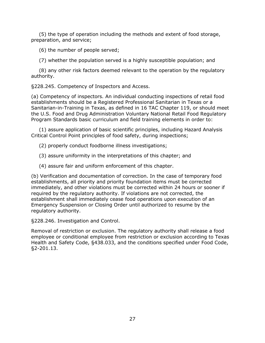(5) the type of operation including the methods and extent of food storage, preparation, and service;

(6) the number of people served;

(7) whether the population served is a highly susceptible population; and

(8) any other risk factors deemed relevant to the operation by the regulatory authority.

§228.245. Competency of Inspectors and Access.

(a) Competency of inspectors. An individual conducting inspections of retail food establishments should be a Registered Professional Sanitarian in Texas or a Sanitarian-in-Training in Texas, as defined in 16 TAC Chapter 119, or should meet the U.S. Food and Drug Administration Voluntary National Retail Food Regulatory Program Standards basic curriculum and field training elements in order to:

(1) assure application of basic scientific principles, including Hazard Analysis Critical Control Point principles of food safety, during inspections;

- (2) properly conduct foodborne illness investigations;
- (3) assure uniformity in the interpretations of this chapter; and
- (4) assure fair and uniform enforcement of this chapter.

(b) Verification and documentation of correction. In the case of temporary food establishments, all priority and priority foundation items must be corrected immediately, and other violations must be corrected within 24 hours or sooner if required by the regulatory authority. If violations are not corrected, the establishment shall immediately cease food operations upon execution of an Emergency Suspension or Closing Order until authorized to resume by the regulatory authority.

§228.246. Investigation and Control.

Removal of restriction or exclusion. The regulatory authority shall release a food employee or conditional employee from restriction or exclusion according to Texas Health and Safety Code, §438.033, and the conditions specified under Food Code, §2-201.13.